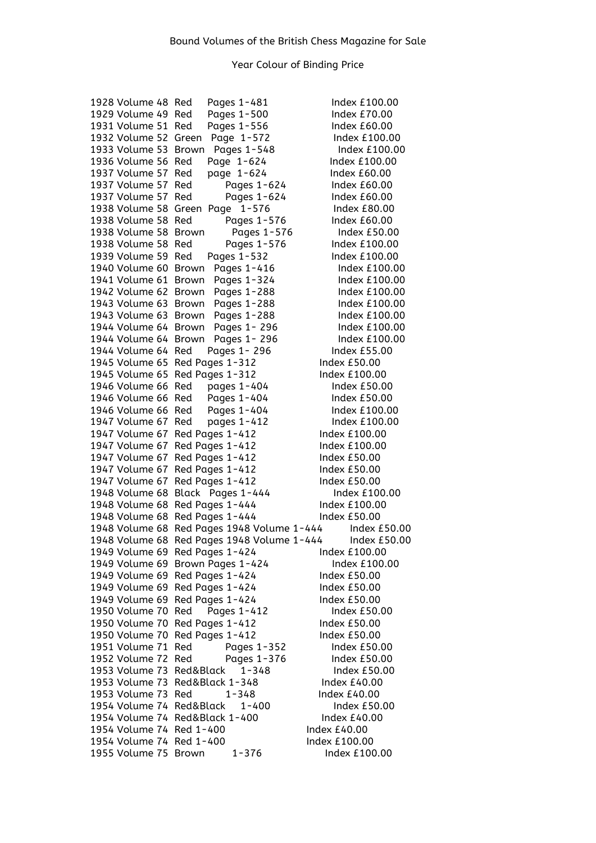| 1928 Volume 48 Red             |              | Pages 1-481                 |               | Index £100.00       |
|--------------------------------|--------------|-----------------------------|---------------|---------------------|
| 1929 Volume 49 Red             |              | Pages 1-500                 |               | Index $E70.00$      |
| 1931 Volume 51                 | Red          | Pages 1-556                 |               | Index £60.00        |
| 1932 Volume 52 Green           |              | Page 1-572                  |               | Index £100.00       |
| 1933 Volume 53                 | Brown        | Pages 1-548                 |               | Index £100.00       |
| 1936 Volume 56                 | Red          | Page 1-624                  |               | Index £100.00       |
| 1937 Volume 57                 | Red          | page 1-624                  |               | Index £60.00        |
| 1937 Volume 57                 | Red          | Pages 1-624                 |               | Index £60.00        |
| 1937 Volume 57                 | Red          | Pages 1-624                 |               | Index $£60.00$      |
| 1938 Volume 58                 | Green        | $1 - 576$<br>Page           |               | Index £80.00        |
| 1938 Volume 58                 | Red          | Pages 1-576                 |               | Index $£60.00$      |
| 1938 Volume 58                 | <b>Brown</b> | Pages 1-576                 |               | Index £50.00        |
| 1938 Volume 58                 | Red          | Pages 1-576                 |               | Index £100.00       |
| 1939 Volume 59                 | Red          | Pages 1-532                 |               | Index £100.00       |
| 1940 Volume 60                 | Brown        | Pages 1-416                 |               | Index £100.00       |
| 1941 Volume 61 Brown           |              |                             |               | Index $£100.00$     |
|                                |              | Pages 1-324                 |               |                     |
| 1942 Volume 62                 | Brown        | Pages 1-288                 |               | Index £100.00       |
| 1943 Volume 63 Brown           |              | Pages 1-288                 |               | Index £100.00       |
| 1943 Volume 63                 | Brown        | Pages 1-288                 |               | Index £100.00       |
| 1944 Volume 64 Brown           |              | Pages 1 - 296               |               | Index £100.00       |
| 1944 Volume 64 Brown           |              | Pages 1-296                 |               | Index £100.00       |
| 1944 Volume 64 Red             |              | Pages 1 - 296               |               | <b>Index £55.00</b> |
| 1945 Volume 65 Red Pages 1-312 |              |                             |               | Index £50.00        |
| 1945 Volume 65 Red Pages 1-312 |              |                             |               | Index £100.00       |
| 1946 Volume 66 Red             |              | pages 1-404                 |               | Index £50.00        |
| 1946 Volume 66 Red             |              | Pages 1-404                 |               | Index £50.00        |
| 1946 Volume 66 Red             |              | Pages 1-404                 |               | Index £100.00       |
| 1947 Volume 67 Red             |              | pages 1-412                 |               | Index £100.00       |
| 1947 Volume 67 Red Pages 1-412 |              |                             |               | Index £100.00       |
| 1947 Volume 67                 |              | Red Pages 1-412             |               | Index £100.00       |
| 1947 Volume 67                 |              | Red Pages 1-412             |               | <b>Index £50.00</b> |
| 1947 Volume 67                 |              | Red Pages 1-412             |               | <b>Index £50.00</b> |
| 1947 Volume 67                 |              | Red Pages 1-412             |               | Index £50.00        |
| 1948 Volume 68                 |              | Black Pages 1-444           |               | Index £100.00       |
| 1948 Volume 68 Red Pages 1-444 |              |                             |               | Index £100.00       |
| 1948 Volume 68                 |              | Red Pages 1-444             |               | Index £50.00        |
| 1948 Volume 68                 |              | Red Pages 1948 Volume 1-444 |               | Index $£50.00$      |
| 1948 Volume 68                 |              | Red Pages 1948 Volume 1-444 |               | <b>Index £50.00</b> |
| 1949 Volume 69 Red Pages 1-424 |              |                             |               | Index £100.00       |
| 1949 Volume 69                 |              | Brown Pages 1-424           |               | Index £100.00       |
| 1949 Volume 69                 |              | Red Pages 1-424             |               | Index £50.00        |
| 1949 Volume 69                 |              | Red Pages 1-424             |               | Index £50.00        |
| 1949 Volume 69                 |              | Red Pages 1-424             |               | Index £50.00        |
| 1950 Volume 70                 | Red          | Pages 1-412                 |               | Index $£50.00$      |
| 1950 Volume 70                 |              | Red Pages 1-412             |               | <b>Index £50.00</b> |
| 1950 Volume 70                 |              | Red Pages 1-412             |               | Index £50.00        |
|                                |              |                             |               |                     |
| 1951 Volume 71                 | Red          | Pages 1-352                 |               | Index £50.00        |
| 1952 Volume 72                 | Red          | Pages 1-376                 |               | Index $£50.00$      |
| 1953 Volume 73                 | Red&Black    | $1 - 348$                   |               | Index £50.00        |
| 1953 Volume 73 Red&Black 1-348 |              |                             |               | Index £40.00        |
| 1953 Volume 73 Red             |              | $1 - 348$                   |               | Index £40.00        |
| 1954 Volume 74 Red&Black       |              | $1 - 400$                   |               | Index £50.00        |
| 1954 Volume 74 Red&Black 1-400 |              |                             |               | Index $£40.00$      |
| 1954 Volume 74 Red 1-400       |              |                             | Index £40.00  |                     |
| 1954 Volume 74 Red 1-400       |              |                             | Index £100.00 |                     |
| 1955 Volume 75                 | <b>Brown</b> | 1-376                       |               | Index £100.00       |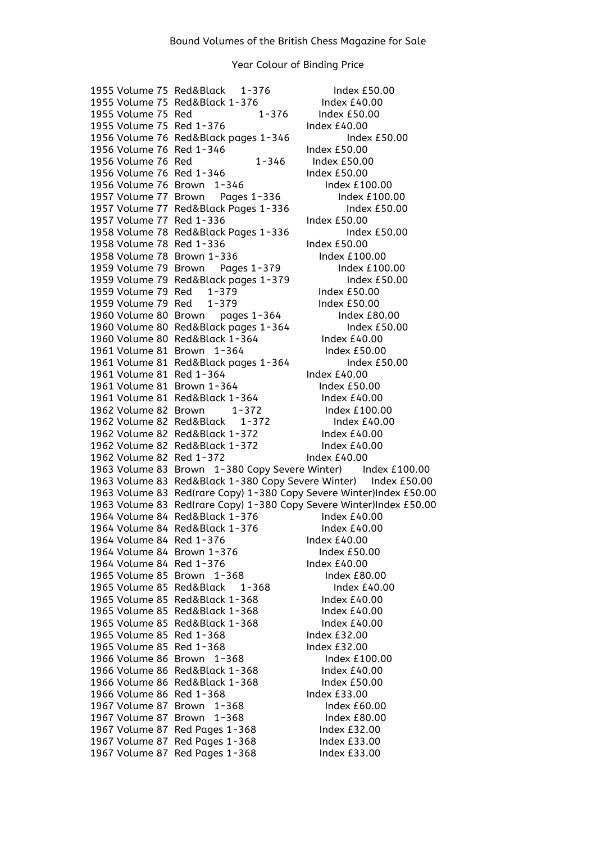1955 Volume 75 Red&Black 1-376 Index £50.00 1955 Volume 75 Red&Black 1-376 Index £40.00 1955 Volume 75 Red 1-376 Index £50.00 1955 Volume 75 Red 1-376 Index £40.00 1956 Volume 76 Red&Black pages 1-346 Index £50.00 1956 Volume 76 Red 1-346 Index £50.00<br>1956 Volume 76 Red 1-346 Index £50.0 1956 Volume 76 Red 1-346 Index £50.00<br>1956 Volume 76 Red 1-346 Index £50.00 1956 Volume 76 Red 1-346 1956 Volume 76 Brown 1-346 Index £100.00 1957 Volume 77 Brown Pages 1-336 Index £100.00 1957 Volume 77 Red&Black Pages 1-336 Index £50.00 1957 Volume 77 Red 1-336 Index £50.00 1958 Volume 78 Red&Black Pages 1-336 Index £50.00 1958 Volume 78 Red 1-336 Index £50.00 1958 Volume 78 Brown 1-336 Index £100.00 1959 Volume 79 Brown Pages 1-379 Index £100.00<br>1959 Volume 79 Red&Black pages 1-379 Index £50.00 1959 Volume 79 Red&Black pages 1-379 1959 Volume 79 Red 1-379 Index £50.00 1959 Volume 79 Red 1-379 Index £50.00 1960 Volume 80 Brown pages 1-364 Index £80.00 1960 Volume 80 Red&Black pages 1-364 Index £50.00 1960 Volume 80 Red&Black 1-364 Index £40.00 1961 Volume 81 Brown 1-364 Index £50.00 1961 Volume 81 Red&Black pages 1-364 Index £50.00 1961 Volume 81 Red 1-364 Index £40.00 1961 Volume 81 Brown 1-364 Index £50.00 1961 Volume 81 Red&Black 1-364 Index £40.00 1962 Volume 82 Brown 1-372 Index £100.00 1962 Volume 82 Red&Black 1-372 Index £40.00 1962 Volume 82 Red&Black 1-372 Index £40.00 1962 Volume 82 Red&Black 1-372 Index £40.00 1962 Volume 82 Red 1-372 Index £40.00 1963 Volume 83 Brown 1-380 Copy Severe Winter) Index £100.00 1963 Volume 83 Red&Black 1-380 Copy Severe Winter) Index £50.00 1963 Volume 83 Red(rare Copy) 1-380 Copy Severe Winter)Index £50.00 1963 Volume 83 Red(rare Copy) 1-380 Copy Severe Winter)Index £50.00 1964 Volume 84 Red&Black 1-376 Index £40.00 1964 Volume 84 Red&Black 1-376 Index £40.00 1964 Volume 84 Red 1-376 Index £40.00 1964 Volume 84 Brown 1-376 Index £50.00 1964 Volume 84 Red 1-376 Index £40.00 1965 Volume 85 Brown 1-368 Index £80.00 1965 Volume 85 Red&Black 1-368 Index £40.00 1965 Volume 85 Red&Black 1-368 Index £40.00<br>1965 Volume 85 Red&Black 1-368 Index £40.00 1965 Volume 85 Red&Black 1-368 1965 Volume 85 Red&Black 1-368 Index £40.00 1965 Volume 85 Red 1-368 Index £32.00 1965 Volume 85 Red 1-368 Index £32.00 1966 Volume 86 Brown 1-368 Index £100.00 1966 Volume 86 Red&Black 1-368 Index £40.00 1966 Volume 86 Red&Black 1-368 Index £50.00 1966 Volume 86 Red 1-368 Index £33.00 1967 Volume 87 Brown 1-368 Index £60.00<br>1967 Volume 87 Brown 1-368 Index £80.00 1967 Volume 87 Brown 1-368 1967 Volume 87 Red Pages 1-368 Index £32.00 1967 Volume 87 Red Pages 1-368 Index £33.00 1967 Volume 87 Red Pages 1-368 Index £33.00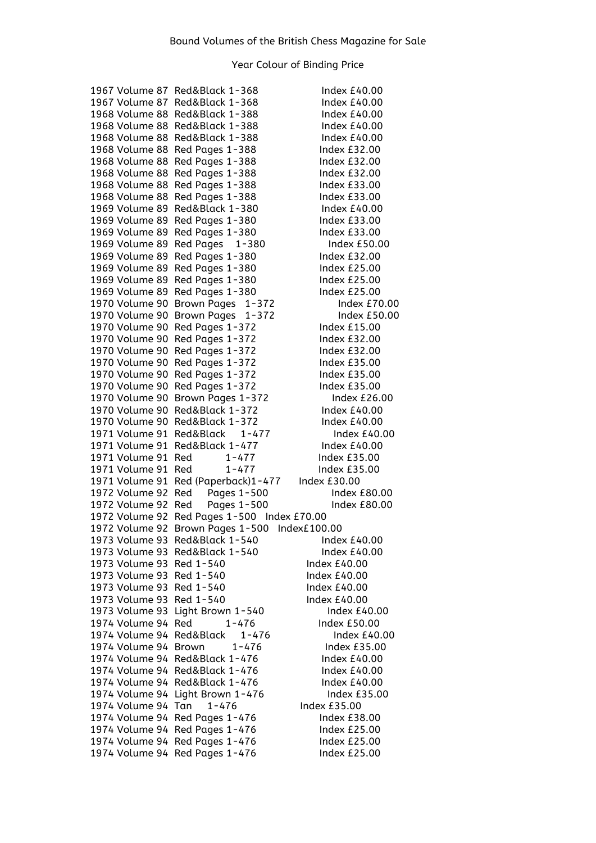|                          | 1967 Volume 87  Red&Black 1-368               | Index $£40.00$      |
|--------------------------|-----------------------------------------------|---------------------|
|                          | 1967 Volume 87 Red&Black 1-368                | Index $£40.00$      |
|                          | 1968 Volume 88 Red&Black 1-388                | Index £40.00        |
|                          | 1968 Volume 88 Red&Black 1-388                | Index £40.00        |
| 1968 Volume 88           | Red&Black 1-388                               | Index £40.00        |
| 1968 Volume 88           | Red Pages 1-388                               | Index $£32.00$      |
| 1968 Volume 88           | Red Pages 1-388                               | Index $£32.00$      |
| 1968 Volume 88           | Red Pages 1-388                               | Index £32.00        |
| 1968 Volume 88           | Red Pages 1-388                               | Index $£33.00$      |
| 1968 Volume 88           | Red Pages 1-388                               | Index $£33.00$      |
| 1969 Volume 89           | Red&Black 1-380                               | Index £40.00        |
| 1969 Volume 89           | Red Pages 1-380                               | Index £33.00        |
| 1969 Volume 89           | Red Pages 1-380                               | Index £33.00        |
| 1969 Volume 89           | Red Pages<br>$1 - 380$                        | Index £50.00        |
| 1969 Volume 89           | Red Pages 1-380                               | Index $£32.00$      |
| 1969 Volume 89           | Red Pages 1-380                               | <b>Index £25.00</b> |
| 1969 Volume 89           | Red Pages 1-380                               | Index £25.00        |
| 1969 Volume 89           | Red Pages 1-380                               | Index £25.00        |
| 1970 Volume 90           | Brown Pages 1-372                             | Index $£70.00$      |
| 1970 Volume 90           | Brown Pages 1-372                             | Index £50.00        |
| 1970 Volume 90           | Red Pages 1-372                               | Index $£15.00$      |
| 1970 Volume 90           | Red Pages 1-372                               | Index £32.00        |
| 1970 Volume 90           |                                               | Index $£32.00$      |
|                          | Red Pages 1-372                               |                     |
| 1970 Volume 90           | Red Pages 1-372                               | Index £35.00        |
| 1970 Volume 90           | Red Pages 1-372                               | Index £35.00        |
| 1970 Volume 90           | Red Pages 1-372                               | Index £35.00        |
| 1970 Volume 90           | Brown Pages 1-372                             | Index £26.00        |
|                          | 1970 Volume 90 Red&Black 1-372                | Index £40.00        |
|                          | 1970 Volume 90 Red&Black 1-372                | Index $£40.00$      |
|                          | 1971 Volume 91 Red&Black 1-477                | Index $£40.00$      |
|                          | 1971 Volume 91 Red&Black 1-477                | Index £40.00        |
| 1971 Volume 91 Red       | $1 - 477$                                     | Index £35.00        |
| 1971 Volume 91 Red       | $1 - 477$                                     | Index £35.00        |
|                          | 1971 Volume 91 Red (Paperback)1-477           | Index £30.00        |
| 1972 Volume 92 Red       | Pages 1-500                                   | <b>Index £80.00</b> |
| 1972 Volume 92 Red       | Pages 1-500                                   | Index $E80.00$      |
|                          | 1972 Volume 92 Red Pages 1-500 Index £70.00   |                     |
|                          | 1972 Volume 92 Brown Pages 1-500 Index£100.00 |                     |
|                          | 1973 Volume 93 Red&Black 1-540                | Index £40.00        |
| 1973 Volume 93           | Red&Black 1-540                               | Index £40.00        |
| 1973 Volume 93           | Red 1-540                                     | Index £40.00        |
| 1973 Volume 93 Red 1-540 |                                               | Index £40.00        |
| 1973 Volume 93           | Red 1-540                                     | Index £40.00        |
| 1973 Volume 93           | Red 1-540                                     | Index £40.00        |
| 1973 Volume 93           | Light Brown 1-540                             | Index £40.00        |
| 1974 Volume 94           | Red<br>$1 - 476$                              | Index £50.00        |
| 1974 Volume 94           | Red&Black<br>$1 - 476$                        | Index £40.00        |
| 1974 Volume 94           | <b>Brown</b><br>$1 - 476$                     | Index £35.00        |
|                          | 1974 Volume 94 Red&Black 1-476                | Index £40.00        |
|                          | 1974 Volume 94 Red&Black 1-476                | Index £40.00        |
|                          | 1974 Volume 94 Red&Black 1-476                | Index $£40.00$      |
| 1974 Volume 94           | Light Brown 1-476                             | Index £35.00        |
| 1974 Volume 94           | $1 - 476$<br>Tan                              | Index £35.00        |
| 1974 Volume 94           | Red Pages 1-476                               | Index £38.00        |
| 1974 Volume 94           | Red Pages 1-476                               | <b>Index £25.00</b> |
| 1974 Volume 94           | Red Pages 1-476                               | <b>Index £25.00</b> |
| 1974 Volume 94           | Red Pages 1-476                               | <b>Index £25.00</b> |
|                          |                                               |                     |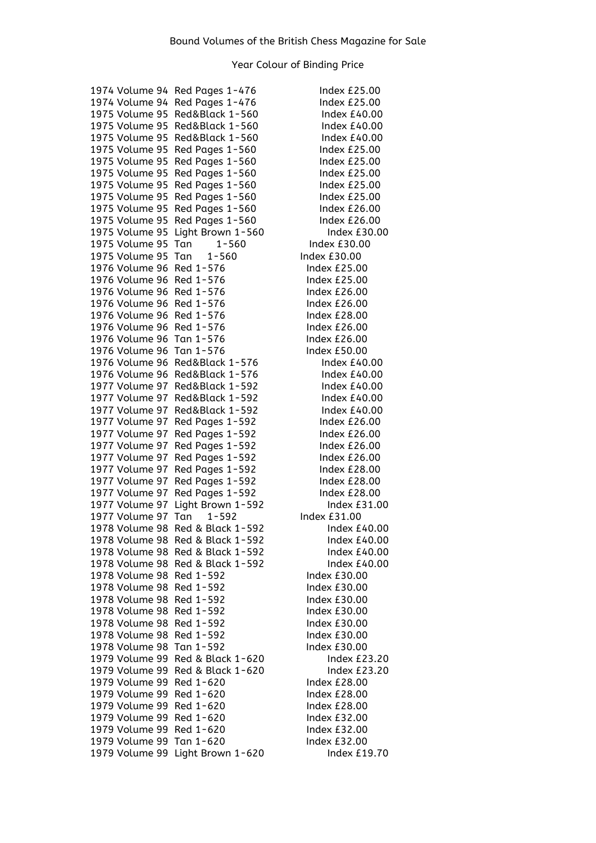| 1974 Volume 94                   | Red Pages 1-476                      |
|----------------------------------|--------------------------------------|
| 1974 Volume 94                   | Red Pages 1-476                      |
| 1975 Volume 95                   | Red&Black 1-560                      |
| 1975 Volume 95                   | Red&Black 1-560                      |
| 1975 Volume 95                   | Red&Black 1-560                      |
| 1975 Volume 95                   | Red Pages 1-560                      |
| 1975 Volume 95                   | Red Pages 1-560                      |
| 1975 Volume 95                   | Red Pages 1-560                      |
| 1975 Volume 95                   | Red Pages 1-560                      |
| 1975 Volume 95                   | Red Pages 1-560                      |
| 1975 Volume 95                   | Red Pages 1-560<br>Red Pages 1-560   |
| 1975 Volume 95<br>1975 Volume 95 | Light Brown 1-560                    |
| 1975 Volume 95                   | $1 - 560$<br>Tan                     |
| 1975 Volume 95                   | $1 - 560$<br>Tan                     |
| 1976 Volume 96                   | Red 1-576                            |
| 1976 Volume 96                   | Red 1-576                            |
| 1976 Volume 96                   | Red 1-576                            |
| 1976 Volume 96                   | Red 1-576                            |
| 1976 Volume 96                   | Red 1-576                            |
| 1976 Volume 96                   | Red 1-576                            |
| 1976 Volume 96                   | Tan 1-576                            |
| 1976 Volume 96                   | Tan 1-576                            |
| 1976 Volume 96                   | Red&Black 1-576                      |
| 1976 Volume 96                   | Red&Black 1-576                      |
| 1977 Volume 97                   | Red&Black 1-592                      |
| 1977 Volume 97                   | Red&Black 1-592                      |
| 1977 Volume 97                   | Red&Black 1-592                      |
| 1977 Volume 97                   | Red Pages 1-592                      |
| 1977 Volume 97                   | Red Pages 1-592                      |
| 1977 Volume 97                   | Red Pages 1-592                      |
| 1977 Volume 97                   | Red Pages 1-592                      |
| 1977 Volume 97                   | Red Pages 1-592                      |
| 1977 Volume 97                   | Red Pages 1-592                      |
| 1977 Volume 97<br>1977 Volume 97 | Red Pages 1-592<br>Light Brown 1-592 |
| 1977 Volume 97                   | $1 - 592$<br>Tan                     |
| 1978 Volume 98                   | Red & Black 1-592                    |
| 1978 Volume 98                   | Red & Black 1-592                    |
| 1978 Volume 98                   | Red & Black 1-592                    |
| 1978 Volume 98                   | Red & Black 1-592                    |
| 1978 Volume 98                   | Red 1-592                            |
| 1978 Volume 98                   | Red 1-592                            |
| 1978 Volume 98                   | Red 1-592                            |
| 1978 Volume 98                   | Red 1-592                            |
| 1978 Volume 98                   | Red 1-592                            |
| 1978 Volume 98                   | Red 1-592                            |
| 1978 Volume 98                   | Tan 1-592                            |
| 1979 Volume 99                   | Red & Black 1-620                    |
| 1979 Volume 99                   | Red & Black 1-620                    |
| 1979 Volume 99                   | Red 1-620                            |
| 1979 Volume 99                   | Red 1-620                            |
| 1979 Volume 99                   | Red 1-620                            |
| 1979 Volume 99                   | Red 1-620                            |
| 1979 Volume 99                   | Red 1-620                            |
| 1979 Volume 99 Tan 1-620         |                                      |
| 1979 Volume 99                   | Light Brown 1-620                    |

Index £25.00 Index £25.00 Index  $£40.00$ Index  $£40.00$ Index  $£40.00$ Index  $£25.00$ Index  $£25.00$ Index  $£25.00$ Index  $£25.00$ Index £25.00 Index £26.00 Index £26.00 Index  $£30.00$ Index £30.00 Index £30.00 Index £25.00 Index  $£25.00$ Index £26.00 Index  $£26.00$ Index  $£28.00$ Index £26.00 Index  $£26.00$ Index  $£50.00$ Index  $£40.00$ Index  $£40.00$ Index  $£40.00$ Index £40.00 Index £40.00 Index £26.00 Index £26.00 Index  $£26.00$ Index £26.00 Index  $£28.00$ Index £28.00 Index £28.00 Index £31.00 Index £31.00 Index £40.00 Index  $£40.00$ Index  $£40.00$ Index £40.00 Index £30.00 Index  $£30.00$ Index  $£30.00$ Index  $£30.00$ Index £30.00 Index £30.00 Index  $£30.00$ Index £23.20 Index £23.20 Index £28.00 Index £28.00 Index £28.00 Index £32.00 Index £32.00 Index £32.00 Index  $£19.70$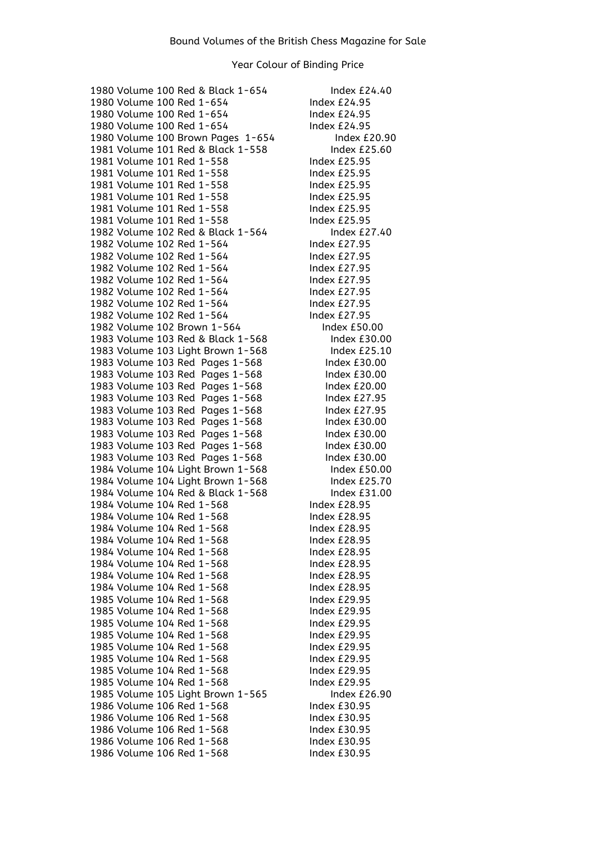1980 Volume 100 Red & Black 1-654 Index £24.40 1980 Volume 100 Red 1-654 Index £24.95 1980 Volume 100 Red 1-654 Index £24.95 1980 Volume 100 Red 1-654 Index £24.95 1980 Volume 100 Brown Pages 1-654 Index £20.90 1981 Volume 101 Red & Black 1-558 Index £25.60 1981 Volume 101 Red 1-558 Index £25.95 1981 Volume 101 Red 1-558 Index £25.95 1981 Volume 101 Red 1-558 Index £25.95 1981 Volume 101 Red 1-558 Index £25.95 1981 Volume 101 Red 1-558 Index £25.95 1981 Volume 101 Red 1-558 Index £25.95 1982 Volume 102 Red & Black 1-564 Index £27.40 1982 Volume 102 Red 1-564 Index £27.95 1982 Volume 102 Red 1-564 Index £27.95 1982 Volume 102 Red 1-564 Index £27.95 1982 Volume 102 Red 1-564 Index £27.95 1982 Volume 102 Red 1-564 Index £27.95 1982 Volume 102 Red 1-564 Index £27.95 1982 Volume 102 Red 1-564 Index £27.95 1982 Volume 102 Brown 1-564 Index £50.00 1983 Volume 103 Red & Black 1-568 Index £30.00 1983 Volume 103 Light Brown 1-568 Index £25.10 1983 Volume 103 Red Pages 1-568 Index £30.00 1983 Volume 103 Red Pages 1-568 Index £30.00 1983 Volume 103 Red Pages 1-568 Index £20.00 1983 Volume 103 Red Pages 1-568 Index £27.95 1983 Volume 103 Red Pages 1-568 Index £27.95 1983 Volume 103 Red Pages 1-568 Index £30.00 1983 Volume 103 Red Pages 1-568 Index £30.00 1983 Volume 103 Red Pages 1-568 Index £30.00 1983 Volume 103 Red Pages 1-568 Index £30.00 1984 Volume 104 Light Brown 1-568 Index £50.00 1984 Volume 104 Light Brown 1-568 Index £25.70<br>1984 Volume 104 Red & Black 1-568 Index £31.00 1984 Volume 104 Red & Black 1-568 1984 Volume 104 Red 1-568 Index £28.95 1984 Volume 104 Red 1-568 Index £28.95 1984 Volume 104 Red 1-568 Index £28.95 1984 Volume 104 Red 1-568 Index £28.95 1984 Volume 104 Red 1-568 Index £28.95 1984 Volume 104 Red 1-568 Index £28.95 1984 Volume 104 Red 1-568 Index £28.95 1984 Volume 104 Red 1-568 Index £28.95 1985 Volume 104 Red 1-568 Index £29.95 1985 Volume 104 Red 1-568 Index £29.95 1985 Volume 104 Red 1-568 Index £29.95 1985 Volume 104 Red 1-568 Index £29.95 1985 Volume 104 Red 1-568 Index £29.95 1985 Volume 104 Red 1-568 Index £29.95 1985 Volume 104 Red 1-568 Index £29.95 1985 Volume 104 Red 1-568 Index £29.95 1985 Volume 105 Light Brown 1-565 Index £26.90 1986 Volume 106 Red 1-568 Index £30.95 1986 Volume 106 Red 1-568 Index £30.95 1986 Volume 106 Red 1-568 Index £30.95 1986 Volume 106 Red 1-568 Index £30.95 1986 Volume 106 Red 1-568 Index £30.95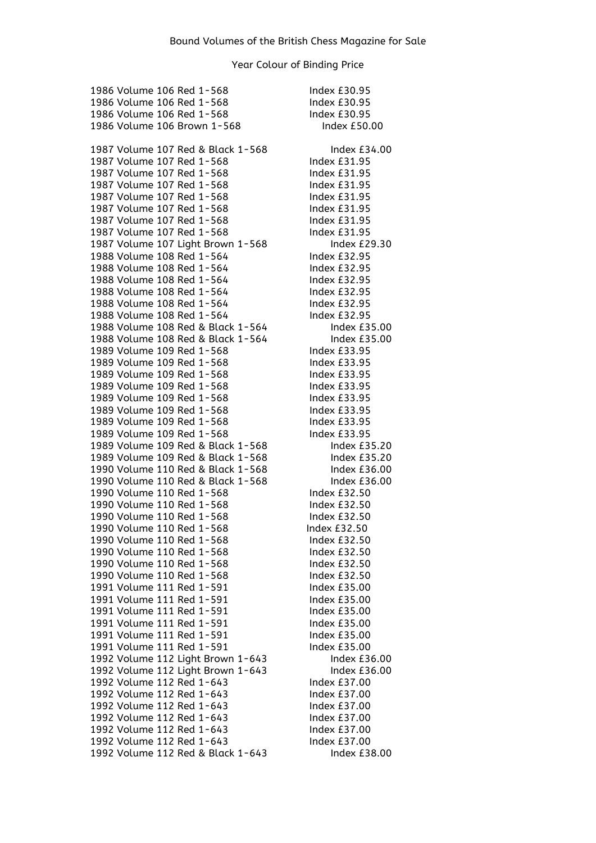1986 Volume 106 Red 1-568 Index £30.95 1986 Volume 106 Red 1-568 Index £30.95 1986 Volume 106 Red 1-568 Index £30.95 1986 Volume 106 Brown 1-568 Index £50.00 1987 Volume 107 Red & Black 1-568 Index £34.00 1987 Volume 107 Red 1-568 Index £31.95 1987 Volume 107 Red 1-568 Index £31.95 1987 Volume 107 Red 1-568 Index £31.95 1987 Volume 107 Red 1-568 Index £31.95 1987 Volume 107 Red 1-568 Index £31.95 1987 Volume 107 Red 1-568 Index £31.95 1987 Volume 107 Red 1-568 Index £31.95 1987 Volume 107 Light Brown 1-568 Index £29.30 1988 Volume 108 Red 1-564 Index £32.95 1988 Volume 108 Red 1-564 Index £32.95 1988 Volume 108 Red 1-564 Index £32.95 1988 Volume 108 Red 1-564 Index £32.95 1988 Volume 108 Red 1-564 Index £32.95 1988 Volume 108 Red 1-564 Index £32.95 1988 Volume 108 Red & Black 1-564 Index £35.00 1988 Volume 108 Red & Black 1-564 Index £35.00 1989 Volume 109 Red 1-568 Index £33.95 1989 Volume 109 Red 1-568 Index £33.95 1989 Volume 109 Red 1-568 Index £33.95 1989 Volume 109 Red 1-568 Index £33.95 1989 Volume 109 Red 1-568 Index £33.95 1989 Volume 109 Red 1-568 Index £33.95 1989 Volume 109 Red 1-568 Index £33.95 1989 Volume 109 Red 1-568 Index £33.95 1989 Volume 109 Red & Black 1-568 Index £35.20 1989 Volume 109 Red & Black 1-568 Index £35.20 1990 Volume 110 Red & Black 1-568 Index £36.00 1990 Volume 110 Red & Black 1-568 Index £36.00 1990 Volume 110 Red 1-568 Index £32.50 1990 Volume 110 Red 1-568 Index £32.50 1990 Volume 110 Red 1-568 Index £32.50 1990 Volume 110 Red 1-568 Index £32.50 1990 Volume 110 Red 1-568 Index £32.50 1990 Volume 110 Red 1-568 Index £32.50 1990 Volume 110 Red 1-568 Index £32.50 1990 Volume 110 Red 1-568 Index £32.50 1991 Volume 111 Red 1-591 Index £35.00 1991 Volume 111 Red 1-591 Index £35.00 1991 Volume 111 Red 1-591 Index £35.00 1991 Volume 111 Red 1-591 Index £35.00 1991 Volume 111 Red 1-591 Index £35.00 1991 Volume 111 Red 1-591 Index £35.00 1992 Volume 112 Light Brown 1-643 Index £36.00 1992 Volume 112 Light Brown 1-643 Index £36.00 1992 Volume 112 Red 1-643 Index £37.00 1992 Volume 112 Red 1-643 Index £37.00 1992 Volume 112 Red 1-643 Index £37.00 1992 Volume 112 Red 1-643 Index £37.00 1992 Volume 112 Red 1-643 Index £37.00 1992 Volume 112 Red 1-643 Index £37.00 1992 Volume 112 Red & Black 1-643 Index £38.00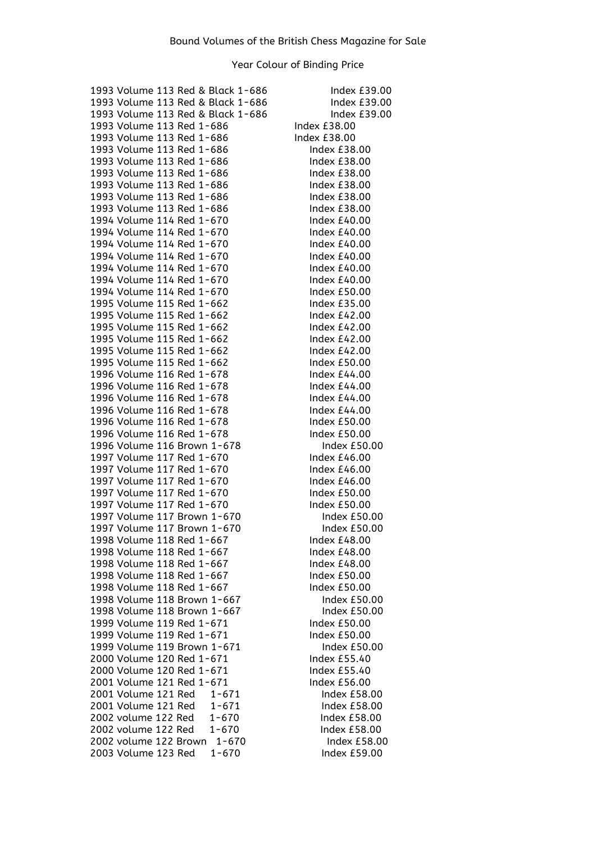| 1993 Volume 113 Red & Black 1-686  | Index £39.00        |
|------------------------------------|---------------------|
| 1993 Volume 113 Red & Black 1-686  | Index £39.00        |
| 1993 Volume 113 Red & Black 1-686  | Index £39.00        |
| 1993 Volume 113 Red 1-686          | Index £38.00        |
| 1993 Volume 113 Red 1-686          | Index £38.00        |
| 1993 Volume 113 Red 1-686          | Index £38.00        |
| 1993 Volume 113 Red 1-686          | Index £38.00        |
| 1993 Volume 113 Red 1-686          | Index $£38.00$      |
| 1993 Volume 113 Red 1-686          | Index £38.00        |
| 1993 Volume 113 Red 1-686          | Index $£38.00$      |
| 1993 Volume 113 Red 1-686          | Index £38.00        |
| 1994 Volume 114 Red 1-670          | Index $£40.00$      |
| 1994 Volume 114 Red 1-670          | Index £40.00        |
|                                    |                     |
| 1994 Volume 114 Red 1-670          | Index £40.00        |
| 1994 Volume 114 Red 1-670          | Index £40.00        |
| 1994 Volume 114 Red 1-670          | Index £40.00        |
| 1994 Volume 114 Red 1-670          | Index £40.00        |
| 1994 Volume 114 Red 1-670          | Index £50.00        |
| 1995 Volume 115 Red 1-662          | Index £35.00        |
| 1995 Volume 115 Red 1-662          | Index £42.00        |
| 1995 Volume 115 Red 1-662          | Index $£42.00$      |
| 1995 Volume 115 Red 1-662          | Index £42.00        |
| 1995 Volume 115 Red 1-662          | Index £42.00        |
| 1995 Volume 115 Red 1-662          | <b>Index £50.00</b> |
| 1996 Volume 116 Red 1-678          | Index £44.00        |
| 1996 Volume 116 Red 1-678          | Index £44.00        |
| 1996 Volume 116 Red 1-678          | Index £44.00        |
| 1996 Volume 116 Red 1-678          | Index £44.00        |
| 1996 Volume 116 Red 1-678          | Index £50.00        |
| 1996 Volume 116 Red 1-678          | Index £50.00        |
| 1996 Volume 116 Brown 1-678        | <b>Index £50.00</b> |
| 1997 Volume 117 Red 1-670          | Index £46.00        |
| 1997 Volume 117 Red 1-670          | Index £46.00        |
| 1997 Volume 117 Red 1-670          | Index £46.00        |
| 1997 Volume 117 Red 1-670          | Index £50.00        |
| 1997 Volume 117 Red 1-670          | <b>Index £50.00</b> |
| 1997 Volume 117 Brown 1-670        | Index £50.00        |
| 1997 Volume 117 Brown 1-670        | Index £50.00        |
| 1998 Volume 118 Red 1-667          | Index £48.00        |
| 1998 Volume 118 Red 1-667          | Index £48.00        |
| 1998 Volume 118 Red 1-667          | Index £48.00        |
| 1998 Volume 118 Red 1-667          | Index £50.00        |
| 1998 Volume 118 Red 1-667          | Index £50.00        |
| 1998 Volume 118 Brown 1-667        | Index £50.00        |
|                                    |                     |
| 1998 Volume 118 Brown 1-667        | Index £50.00        |
| 1999 Volume 119 Red 1-671          | Index £50.00        |
| 1999 Volume 119 Red 1-671          | Index £50.00        |
| 1999 Volume 119 Brown 1-671        | Index £50.00        |
| 2000 Volume 120 Red 1-671          | Index £55.40        |
| 2000 Volume 120 Red 1-671          | Index £55.40        |
| 2001 Volume 121 Red 1-671          | Index £56.00        |
| 2001 Volume 121 Red<br>$1 - 671$   | Index £58.00        |
| 2001 Volume 121 Red<br>$1 - 671$   | Index £58.00        |
| 2002 volume 122 Red<br>$1 - 670$   | Index £58.00        |
| 2002 volume 122 Red<br>$1 - 670$   | Index £58.00        |
| 2002 volume 122 Brown<br>$1 - 670$ | Index £58.00        |
| 2003 Volume 123 Red<br>$1 - 670$   | Index £59.00        |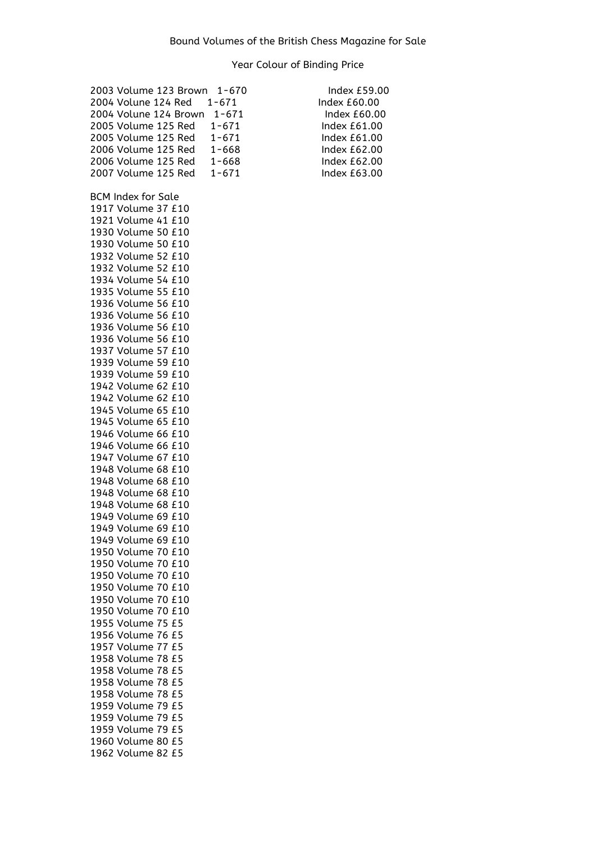| 2003 Volume 123 Brown     | $1 - 670$ | Index £59.00        |
|---------------------------|-----------|---------------------|
| 2004 Volune 124 Red       | $1 - 671$ | Index £60.00        |
| 2004 Volune 124 Brown     | $1 - 671$ | Index £60.00        |
| 2005 Volume 125 Red       | $1 - 671$ | Index £61.00        |
| 2005 Volume 125 Red       | $1 - 671$ | Index £61.00        |
| 2006 Volume 125 Red       | $1 - 668$ | Index £62.00        |
| 2006 Volume 125 Red       | $1 - 668$ | <b>Index £62.00</b> |
|                           |           |                     |
| 2007 Volume 125 Red       | $1 - 671$ | Index $£63.00$      |
|                           |           |                     |
| <b>BCM Index for Sale</b> |           |                     |
| 1917 Volume 37 £10        |           |                     |
| 1921 Volume 41 £10        |           |                     |
| 1930 Volume 50 £10        |           |                     |
| 1930 Volume 50 £10        |           |                     |
| 1932 Volume 52 £10        |           |                     |
| 1932 Volume 52 £10        |           |                     |
| 1934 Volume 54 £10        |           |                     |
| 1935 Volume 55 £10        |           |                     |
| 1936 Volume 56 £10        |           |                     |
| 1936 Volume 56 £10        |           |                     |
| 1936 Volume 56 £10        |           |                     |
| 1936 Volume 56 £10        |           |                     |
| 1937 Volume 57 £10        |           |                     |
| 1939 Volume 59 £10        |           |                     |
| 1939 Volume 59 £10        |           |                     |
| 1942 Volume 62 £10        |           |                     |
| 1942 Volume 62 £10        |           |                     |
| 1945 Volume 65 £10        |           |                     |
| 1945 Volume 65 £10        |           |                     |
| 1946 Volume 66 £10        |           |                     |
| 1946 Volume 66 £10        |           |                     |
| 1947 Volume 67 £10        |           |                     |
| 1948 Volume 68 £10        |           |                     |
| 1948 Volume 68 £10        |           |                     |
| 1948 Volume 68 £10        |           |                     |
| 1948 Volume 68 £10        |           |                     |
| 1949 Volume 69 £10        |           |                     |
| 1949 Volume 69 £10        |           |                     |
| 1949 Volume 69 £10        |           |                     |
| 1950 Volume 70 £10        |           |                     |
| 1950 Volume 70 £10        |           |                     |
| 1950 Volume 70 £10        |           |                     |
| 1950 Volume 70 £10        |           |                     |
|                           |           |                     |
| 1950 Volume 70 £10        |           |                     |
| 1950 Volume 70 £10        |           |                     |
| 1955 Volume 75 £5         |           |                     |
| 1956 Volume 76 £5         |           |                     |
| 1957 Volume 77 £5         |           |                     |
| 1958 Volume 78 £5         |           |                     |
| 1958 Volume 78 £5         |           |                     |
| 1958 Volume 78 £5         |           |                     |
| 1958 Volume 78 £5         |           |                     |
| 1959 Volume 79 £5         |           |                     |
| 1959 Volume 79 £5         |           |                     |
| 1959 Volume 79 £5         |           |                     |
| 1960 Volume 80 £5         |           |                     |
| 1962 Volume 82 £5         |           |                     |

| -670 | Index $f59.00$ |
|------|----------------|
| 71   | Index £60.00   |
| 671  | Index £60.00   |
| 571  | Index $£61.00$ |
| 571  | Index $£61.00$ |
| 568  | Index $£62.00$ |
| 568  | Index $£62.00$ |
| 571  | Index $£63.00$ |
|      |                |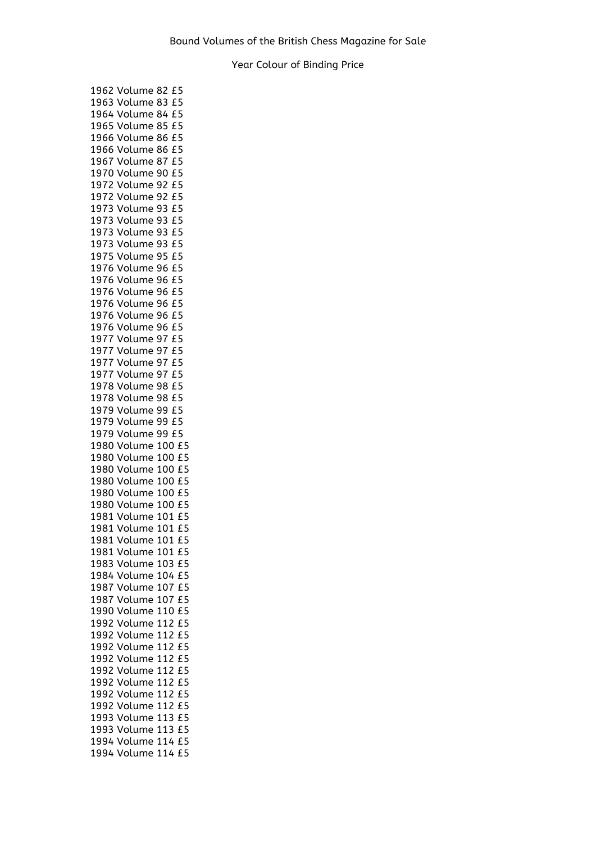|      | 1962 Volume 82 £5       |
|------|-------------------------|
|      | 1963 Volume 83 £5       |
|      | 1964 Volume 84 £5       |
|      | 1965 Volume 85<br>£5    |
|      | 1966 Volume 86<br>£5    |
|      | 1966 Volume 86<br>£5    |
|      | 1967 Volume 87<br>£5    |
|      | 1970 Volume 90<br>£5    |
|      | 1972 Volume 92<br>£5    |
|      | 1972 Volume 92<br>£5    |
|      | 1973 Volume 93<br>£5    |
|      | £5                      |
|      | 1973 Volume 93          |
|      | 1973 Volume 93<br>£5    |
|      | 1973 Volume 93<br>£5    |
|      | 1975 Volume 95<br>£5    |
|      | 1976 Volume 96<br>£5    |
|      | 1976 Volume 96<br>£5    |
|      | 1976 Volume 96<br>£5    |
|      | 1976 Volume 96<br>£5    |
|      | 1976 Volume 96<br>£5    |
|      | 1976 Volume 96<br>£5    |
|      | 1977 Volume 97<br>£5    |
|      | 1977 Volume 97<br>£5    |
| 1977 | Volume 97<br>£5         |
|      | 1977 Volume 97<br>£5    |
|      | 1978 Volume 98<br>£5    |
|      | 1978 Volume<br>£5<br>98 |
|      | £5<br>1979 Volume<br>99 |
|      | 1979 Volume<br>£5<br>99 |
|      | 1979 Volume<br>£5<br>99 |
|      | 1980 Volume 100 £5      |
|      | 1980 Volume 100<br>£5   |
|      | 1980 Volume 100<br>£5   |
|      | 1980 Volume 100 £5      |
|      | 1980 Volume 100<br>£5   |
|      | 1980 Volume 100 £5      |
|      | £5                      |
|      | 1981 Volume 101         |
|      | 1981 Volume 101<br>£5   |
| 1981 | Volume<br>101<br>£5     |
| 1981 | 101<br>£5<br>Volume     |
| 1983 | Volume<br>103<br>£5     |
| 1984 | Volume<br>104<br>£5     |
| 1987 | Volume<br>107<br>£5     |
| 1987 | Volume<br>107<br>£5     |
| 1990 | Volume<br>110<br>£5     |
| 1992 | Volume<br>112<br>£5     |
| 1992 | Volume<br>112<br>£5     |
| 1992 | £5<br>Volume<br>112     |
| 1992 | Volume<br>112<br>£5     |
| 1992 | 112<br>£5<br>Volume     |
| 1992 | 112<br>£5<br>Volume     |
| 1992 | 112<br>£5<br>Volume     |
| 1992 | 112<br>£5<br>Volume     |
| 1993 | Volume<br>113<br>£5     |
| 1993 | Volume<br>113<br>£5     |
| 1994 | Volume<br>114<br>£5     |
| 1994 | 114<br>£5<br>Volume     |
|      |                         |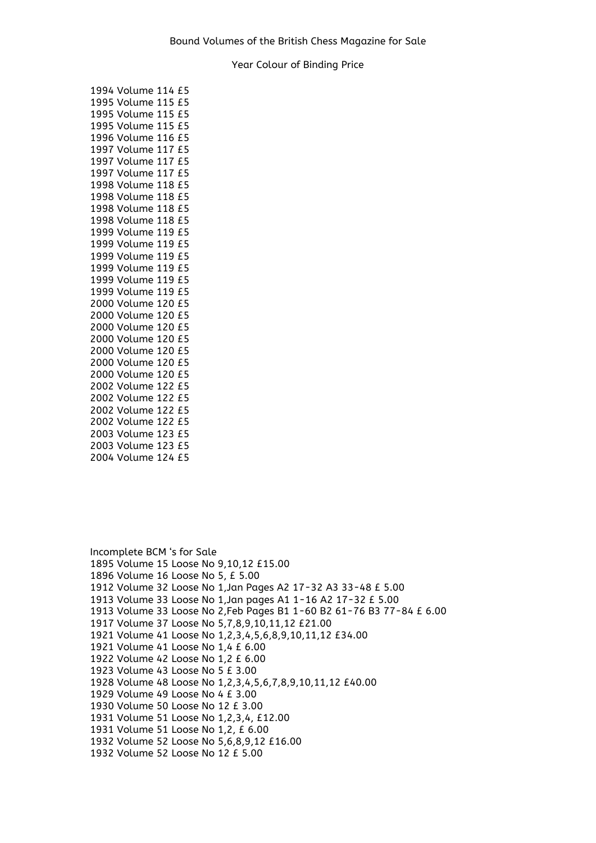| 1994 Volume 114 £5    |
|-----------------------|
| 1995 Volume 115 £5    |
| 1995 Volume 115 £5    |
| 1995 Volume 115 £5    |
| 1996 Volume 116<br>£5 |
| 1997 Volume 117<br>£5 |
| 1997 Volume 117<br>£5 |
| 1997 Volume 117<br>£5 |
| 1998 Volume 118<br>£5 |
| 1998 Volume 118<br>£5 |
| 1998 Volume 118<br>£5 |
| 1998 Volume 118 £5    |
| 1999 Volume 119 £5    |
| 1999 Volume 119 £5    |
| 1999 Volume 119 £5    |
| 1999 Volume 119<br>£5 |
| 1999 Volume 119 £5    |
| 1999 Volume 119 £5    |
| 2000 Volume 120 £5    |
| 2000 Volume 120 £5    |
| 2000 Volume 120 £5    |
| 2000 Volume 120<br>£5 |
| 2000 Volume 120<br>£5 |
| 2000 Volume 120<br>£5 |
| 2000 Volume 120<br>£5 |
| 2002 Volume 122<br>£5 |
| 2002 Volume 122<br>£5 |
| 2002 Volume 122 £5    |
| 2002 Volume 122 £5    |
| 2003 Volume 123 £5    |
| 2003 Volume 123 £5    |
| 2004 Volume 124<br>£5 |

Incomplete BCM 's for Sale 1895 Volume 15 Loose No 9,10,12 £15.00 1896 Volume 16 Loose No 5, £ 5.00 1912 Volume 32 Loose No 1,Jan Pages A2 17-32 A3 33-48 £ 5.00 1913 Volume 33 Loose No 1,Jan pages A1 1-16 A2 17-32 £ 5.00 1913 Volume 33 Loose No 2,Feb Pages B1 1-60 B2 61-76 B3 77-84 £ 6.00 1917 Volume 37 Loose No 5,7,8,9,10,11,12 £21.00 1921 Volume 41 Loose No 1,2,3,4,5,6,8,9,10,11,12 £34.00 1921 Volume 41 Loose No 1,4 £ 6.00 1922 Volume 42 Loose No 1,2 £ 6.00 1923 Volume 43 Loose No 5 £ 3.00 1928 Volume 48 Loose No 1,2,3,4,5,6,7,8,9,10,11,12 £40.00 1929 Volume 49 Loose No 4 £ 3.00 1930 Volume 50 Loose No 12 £ 3.00 1931 Volume 51 Loose No 1,2,3,4, £12.00 1931 Volume 51 Loose No 1,2, £ 6.00 1932 Volume 52 Loose No 5,6,8,9,12 £16.00 1932 Volume 52 Loose No 12 £ 5.00